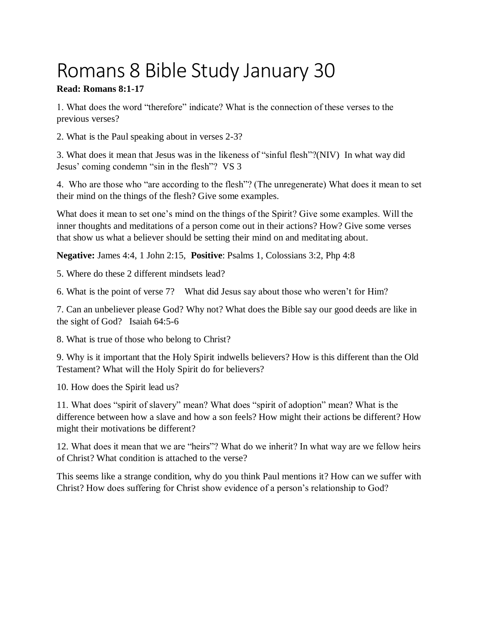## Romans 8 Bible Study January 30

## **Read: Romans 8:1-17**

1. What does the word "therefore" indicate? What is the connection of these verses to the previous verses?

2. What is the Paul speaking about in verses 2-3?

3. What does it mean that Jesus was in the likeness of "sinful flesh"?(NIV) In what way did Jesus' coming condemn "sin in the flesh"? VS 3

4. Who are those who "are according to the flesh"? (The unregenerate) What does it mean to set their mind on the things of the flesh? Give some examples.

What does it mean to set one's mind on the things of the Spirit? Give some examples. Will the inner thoughts and meditations of a person come out in their actions? How? Give some verses that show us what a believer should be setting their mind on and meditating about.

**Negative:** James 4:4, 1 John 2:15, **Positive**: Psalms 1, Colossians 3:2, Php 4:8

5. Where do these 2 different mindsets lead?

6. What is the point of verse 7? What did Jesus say about those who weren't for Him?

7. Can an unbeliever please God? Why not? What does the Bible say our good deeds are like in the sight of God? Isaiah 64:5-6

8. What is true of those who belong to Christ?

9. Why is it important that the Holy Spirit indwells believers? How is this different than the Old Testament? What will the Holy Spirit do for believers?

10. How does the Spirit lead us?

11. What does "spirit of slavery" mean? What does "spirit of adoption" mean? What is the difference between how a slave and how a son feels? How might their actions be different? How might their motivations be different?

12. What does it mean that we are "heirs"? What do we inherit? In what way are we fellow heirs of Christ? What condition is attached to the verse?

This seems like a strange condition, why do you think Paul mentions it? How can we suffer with Christ? How does suffering for Christ show evidence of a person's relationship to God?